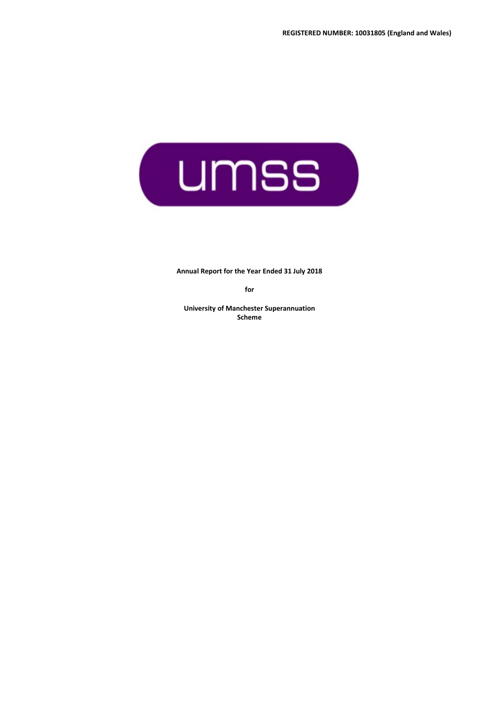

**Annual Report for the Year Ended 31 July 2018**

**for**

**University of Manchester Superannuation Scheme**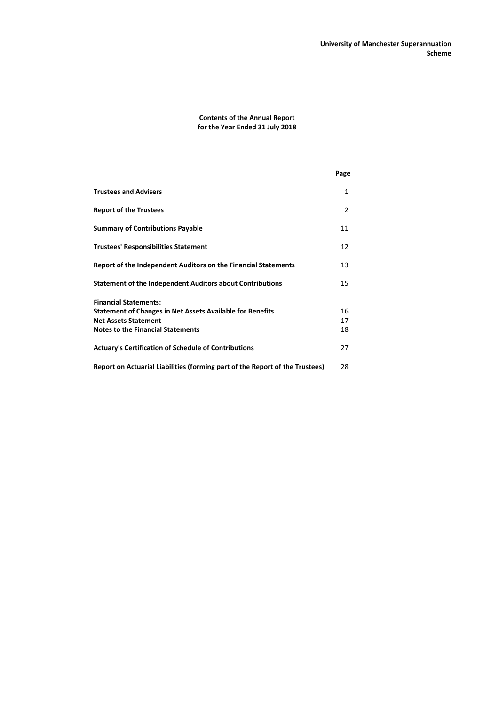**Contents of the Annual Report for the Year Ended 31 July 2018**

|                                                                              | Page           |
|------------------------------------------------------------------------------|----------------|
| <b>Trustees and Advisers</b>                                                 | 1              |
| <b>Report of the Trustees</b>                                                | $\overline{2}$ |
| <b>Summary of Contributions Payable</b>                                      | 11             |
| <b>Trustees' Responsibilities Statement</b>                                  | 12             |
| Report of the Independent Auditors on the Financial Statements               | 13             |
| <b>Statement of the Independent Auditors about Contributions</b>             | 15             |
| <b>Financial Statements:</b>                                                 |                |
| <b>Statement of Changes in Net Assets Available for Benefits</b>             | 16             |
| <b>Net Assets Statement</b>                                                  | 17             |
| <b>Notes to the Financial Statements</b>                                     | 18             |
| <b>Actuary's Certification of Schedule of Contributions</b>                  | 27             |
| Report on Actuarial Liabilities (forming part of the Report of the Trustees) | 28             |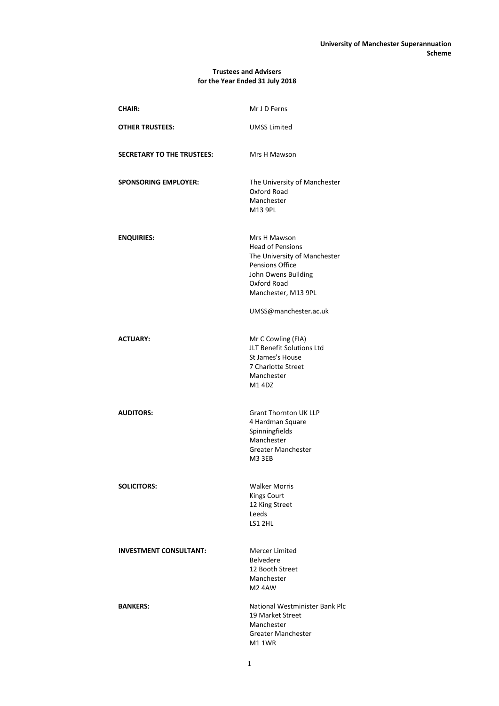# **Trustees and Advisers for the Year Ended 31 July 2018**

| <b>CHAIR:</b>                     | Mr J D Ferns                                                                                                                                                                            |
|-----------------------------------|-----------------------------------------------------------------------------------------------------------------------------------------------------------------------------------------|
| <b>OTHER TRUSTEES:</b>            | <b>UMSS Limited</b>                                                                                                                                                                     |
| <b>SECRETARY TO THE TRUSTEES:</b> | Mrs H Mawson                                                                                                                                                                            |
| <b>SPONSORING EMPLOYER:</b>       | The University of Manchester<br>Oxford Road<br>Manchester<br>M13 9PL                                                                                                                    |
| <b>ENQUIRIES:</b>                 | Mrs H Mawson<br><b>Head of Pensions</b><br>The University of Manchester<br><b>Pensions Office</b><br>John Owens Building<br>Oxford Road<br>Manchester, M13 9PL<br>UMSS@manchester.ac.uk |
| <b>ACTUARY:</b>                   | Mr C Cowling (FIA)<br>JLT Benefit Solutions Ltd<br>St James's House<br>7 Charlotte Street<br>Manchester<br>M1 4DZ                                                                       |
| <b>AUDITORS:</b>                  | <b>Grant Thornton UK LLP</b><br>4 Hardman Square<br>Spinningfields<br>Manchester<br><b>Greater Manchester</b><br><b>M3 3EB</b>                                                          |
| <b>SOLICITORS:</b>                | <b>Walker Morris</b><br><b>Kings Court</b><br>12 King Street<br>Leeds<br>LS1 2HL                                                                                                        |
| <b>INVESTMENT CONSULTANT:</b>     | Mercer Limited<br><b>Belvedere</b><br>12 Booth Street<br>Manchester<br><b>M2 4AW</b>                                                                                                    |
| <b>BANKERS:</b>                   | National Westminister Bank Plc<br>19 Market Street<br>Manchester<br><b>Greater Manchester</b><br>M1 1WR                                                                                 |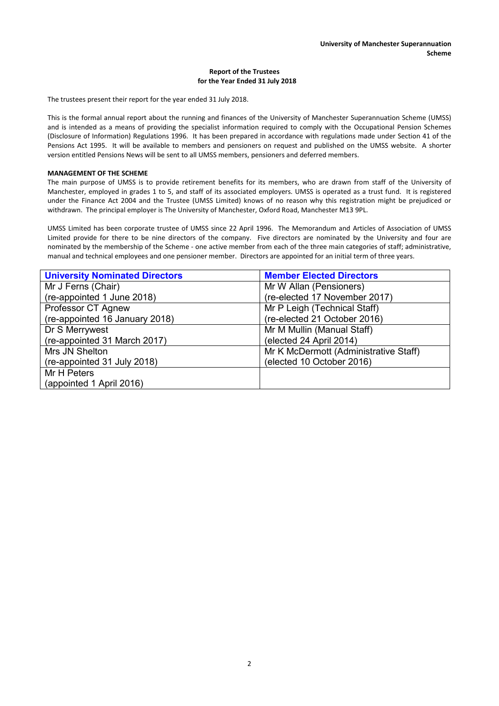The trustees present their report for the year ended 31 July 2018.

This is the formal annual report about the running and finances of the University of Manchester Superannuation Scheme (UMSS) and is intended as a means of providing the specialist information required to comply with the Occupational Pension Schemes (Disclosure of Information) Regulations 1996. It has been prepared in accordance with regulations made under Section 41 of the Pensions Act 1995. It will be available to members and pensioners on request and published on the UMSS website. A shorter version entitled Pensions News will be sent to all UMSS members, pensioners and deferred members.

#### **MANAGEMENT OF THE SCHEME**

The main purpose of UMSS is to provide retirement benefits for its members, who are drawn from staff of the University of Manchester, employed in grades 1 to 5, and staff of its associated employers. UMSS is operated as a trust fund. It is registered under the Finance Act 2004 and the Trustee (UMSS Limited) knows of no reason why this registration might be prejudiced or withdrawn. The principal employer is The University of Manchester, Oxford Road, Manchester M13 9PL.

UMSS Limited has been corporate trustee of UMSS since 22 April 1996. The Memorandum and Articles of Association of UMSS Limited provide for there to be nine directors of the company. Five directors are nominated by the University and four are nominated by the membership of the Scheme - one active member from each of the three main categories of staff; administrative, manual and technical employees and one pensioner member. Directors are appointed for an initial term of three years.

| <b>University Nominated Directors</b> | <b>Member Elected Directors</b>       |
|---------------------------------------|---------------------------------------|
| Mr J Ferns (Chair)                    | Mr W Allan (Pensioners)               |
| (re-appointed 1 June 2018)            | (re-elected 17 November 2017)         |
| Professor CT Agnew                    | Mr P Leigh (Technical Staff)          |
| (re-appointed 16 January 2018)        | (re-elected 21 October 2016)          |
| Dr S Merrywest                        | Mr M Mullin (Manual Staff)            |
| (re-appointed 31 March 2017)          | (elected 24 April 2014)               |
| Mrs JN Shelton                        | Mr K McDermott (Administrative Staff) |
| (re-appointed 31 July 2018)           | (elected 10 October 2016)             |
| Mr H Peters                           |                                       |
| (appointed 1 April 2016)              |                                       |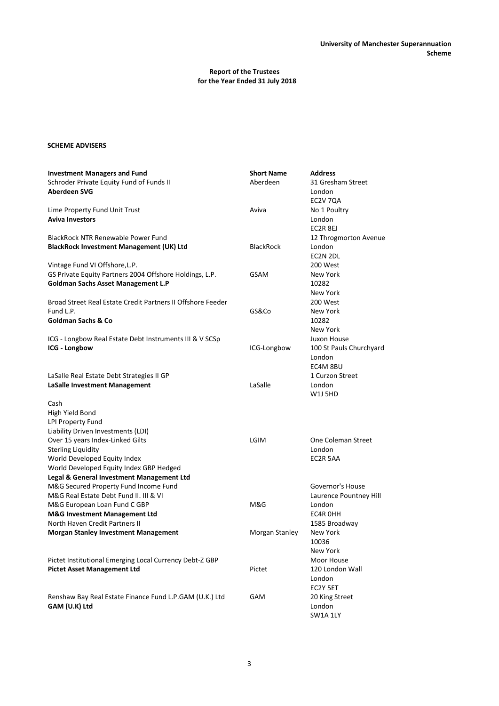# **SCHEME ADVISERS**

| <b>Investment Managers and Fund</b>                         | <b>Short Name</b> | <b>Address</b>          |
|-------------------------------------------------------------|-------------------|-------------------------|
| Schroder Private Equity Fund of Funds II                    | Aberdeen          | 31 Gresham Street       |
| <b>Aberdeen SVG</b>                                         |                   | London                  |
|                                                             |                   | EC2V 7QA                |
| Lime Property Fund Unit Trust                               | Aviva             | No 1 Poultry            |
| <b>Aviva Investors</b>                                      |                   | London                  |
|                                                             |                   | EC2R 8EJ                |
| <b>BlackRock NTR Renewable Power Fund</b>                   |                   | 12 Throgmorton Avenue   |
| <b>BlackRock Investment Management (UK) Ltd</b>             | <b>BlackRock</b>  | London                  |
|                                                             |                   | EC2N 2DL                |
| Vintage Fund VI Offshore, L.P.                              |                   | 200 West                |
| GS Private Equity Partners 2004 Offshore Holdings, L.P.     | <b>GSAM</b>       | New York                |
| <b>Goldman Sachs Asset Management L.P</b>                   |                   | 10282                   |
|                                                             |                   | New York                |
| Broad Street Real Estate Credit Partners II Offshore Feeder |                   | 200 West                |
| Fund L.P.                                                   | GS&Co             | New York                |
| Goldman Sachs & Co                                          |                   | 10282                   |
|                                                             |                   | New York                |
| ICG - Longbow Real Estate Debt Instruments III & V SCSp     |                   | Juxon House             |
| <b>ICG - Longbow</b>                                        | ICG-Longbow       | 100 St Pauls Churchyard |
|                                                             |                   | London                  |
|                                                             |                   | EC4M 8BU                |
| LaSalle Real Estate Debt Strategies II GP                   |                   | 1 Curzon Street         |
| LaSalle Investment Management                               | LaSalle           | London                  |
|                                                             |                   | W1J 5HD                 |
| Cash                                                        |                   |                         |
| High Yield Bond                                             |                   |                         |
| LPI Property Fund                                           |                   |                         |
| Liability Driven Investments (LDI)                          |                   |                         |
| Over 15 years Index-Linked Gilts                            | <b>LGIM</b>       | One Coleman Street      |
| <b>Sterling Liquidity</b>                                   |                   | London                  |
| World Developed Equity Index                                |                   | EC2R 5AA                |
| World Developed Equity Index GBP Hedged                     |                   |                         |
| Legal & General Investment Management Ltd                   |                   |                         |
| M&G Secured Property Fund Income Fund                       |                   | Governor's House        |
| M&G Real Estate Debt Fund II. III & VI                      |                   | Laurence Pountney Hill  |
| M&G European Loan Fund C GBP                                | M&G               | London                  |
| <b>M&amp;G Investment Management Ltd</b>                    |                   | EC4R OHH                |
| North Haven Credit Partners II                              |                   | 1585 Broadway           |
| <b>Morgan Stanley Investment Management</b>                 | Morgan Stanley    | New York                |
|                                                             |                   | 10036                   |
|                                                             |                   | New York                |
| Pictet Institutional Emerging Local Currency Debt-Z GBP     |                   | Moor House              |
| <b>Pictet Asset Management Ltd</b>                          | Pictet            | 120 London Wall         |
|                                                             |                   | London                  |
|                                                             |                   | EC2Y 5ET                |
| Renshaw Bay Real Estate Finance Fund L.P.GAM (U.K.) Ltd     | GAM               | 20 King Street          |
| GAM (U.K) Ltd                                               |                   | London                  |
|                                                             |                   | SW1A 1LY                |
|                                                             |                   |                         |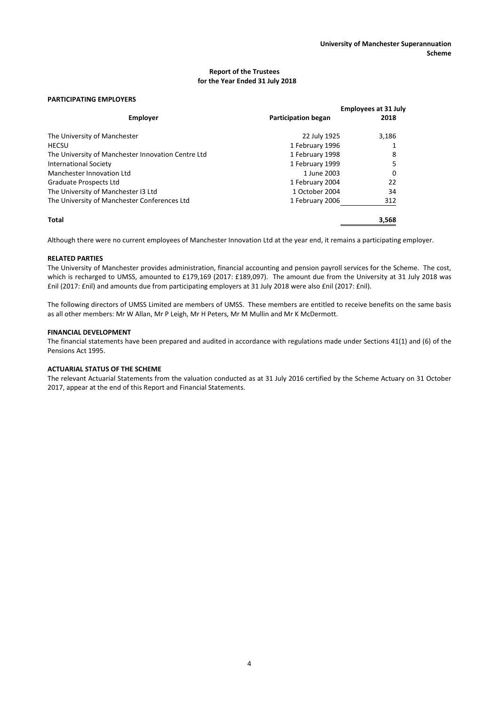#### **PARTICIPATING EMPLOYERS**

|                                                    |                            | <b>Employees at 31 July</b> |
|----------------------------------------------------|----------------------------|-----------------------------|
| <b>Employer</b>                                    | <b>Participation began</b> | 2018                        |
| The University of Manchester                       | 22 July 1925               | 3,186                       |
| <b>HECSU</b>                                       | 1 February 1996            |                             |
| The University of Manchester Innovation Centre Ltd | 1 February 1998            | 8                           |
| <b>International Society</b>                       | 1 February 1999            | 5                           |
| Manchester Innovation Ltd                          | 1 June 2003                | 0                           |
| Graduate Prospects Ltd                             | 1 February 2004            | 22                          |
| The University of Manchester I3 Ltd                | 1 October 2004             | 34                          |
| The University of Manchester Conferences Ltd       | 1 February 2006            | 312                         |
| Total                                              |                            | 3,568                       |

Although there were no current employees of Manchester Innovation Ltd at the year end, it remains a participating employer.

#### **RELATED PARTIES**

The University of Manchester provides administration, financial accounting and pension payroll services for the Scheme. The cost, which is recharged to UMSS, amounted to £179,169 (2017: £189,097). The amount due from the University at 31 July 2018 was £nil (2017: £nil) and amounts due from participating employers at 31 July 2018 were also £nil (2017: £nil).

The following directors of UMSS Limited are members of UMSS. These members are entitled to receive benefits on the same basis as all other members: Mr W Allan, Mr P Leigh, Mr H Peters, Mr M Mullin and Mr K McDermott.

#### **FINANCIAL DEVELOPMENT**

The financial statements have been prepared and audited in accordance with regulations made under Sections 41(1) and (6) of the Pensions Act 1995.

#### **ACTUARIAL STATUS OF THE SCHEME**

The relevant Actuarial Statements from the valuation conducted as at 31 July 2016 certified by the Scheme Actuary on 31 October 2017, appear at the end of this Report and Financial Statements.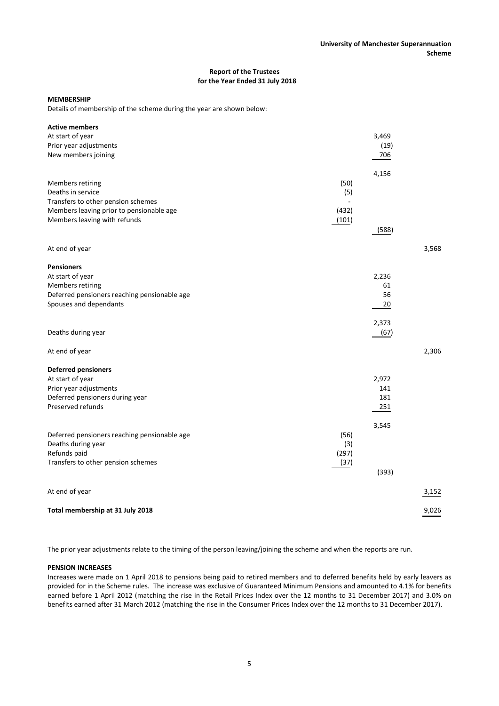#### **MEMBERSHIP**

Details of membership of the scheme during the year are shown below:

| <b>Active members</b><br>At start of year<br>Prior year adjustments<br>New members joining                                                              |                               | 3,469<br>(19)<br>706             |       |
|---------------------------------------------------------------------------------------------------------------------------------------------------------|-------------------------------|----------------------------------|-------|
| Members retiring<br>Deaths in service<br>Transfers to other pension schemes<br>Members leaving prior to pensionable age<br>Members leaving with refunds | (50)<br>(5)<br>(432)<br>(101) | 4,156<br>(588)                   |       |
| At end of year                                                                                                                                          |                               |                                  | 3,568 |
| <b>Pensioners</b><br>At start of year<br>Members retiring<br>Deferred pensioners reaching pensionable age<br>Spouses and dependants                     |                               | 2,236<br>61<br>56<br>20<br>2,373 |       |
| Deaths during year                                                                                                                                      |                               | (67)                             |       |
| At end of year                                                                                                                                          |                               |                                  | 2,306 |
| <b>Deferred pensioners</b><br>At start of year<br>Prior year adjustments<br>Deferred pensioners during year<br>Preserved refunds                        |                               | 2,972<br>141<br>181<br>251       |       |
| Deferred pensioners reaching pensionable age<br>Deaths during year<br>Refunds paid<br>Transfers to other pension schemes                                | (56)<br>(3)<br>(297)<br>(37)  | 3,545<br>(393)                   |       |
| At end of year                                                                                                                                          |                               |                                  | 3,152 |
| Total membership at 31 July 2018                                                                                                                        |                               |                                  | 9,026 |

The prior year adjustments relate to the timing of the person leaving/joining the scheme and when the reports are run.

#### **PENSION INCREASES**

Increases were made on 1 April 2018 to pensions being paid to retired members and to deferred benefits held by early leavers as provided for in the Scheme rules. The increase was exclusive of Guaranteed Minimum Pensions and amounted to 4.1% for benefits earned before 1 April 2012 (matching the rise in the Retail Prices Index over the 12 months to 31 December 2017) and 3.0% on benefits earned after 31 March 2012 (matching the rise in the Consumer Prices Index over the 12 months to 31 December 2017).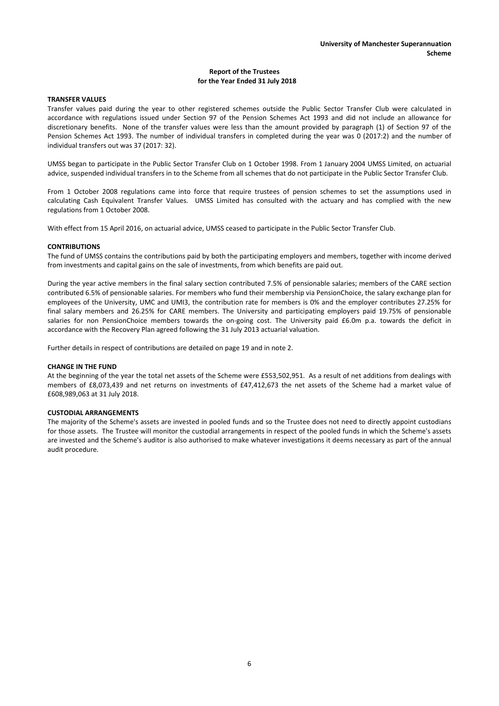#### **TRANSFER VALUES**

Transfer values paid during the year to other registered schemes outside the Public Sector Transfer Club were calculated in accordance with regulations issued under Section 97 of the Pension Schemes Act 1993 and did not include an allowance for discretionary benefits. None of the transfer values were less than the amount provided by paragraph (1) of Section 97 of the Pension Schemes Act 1993. The number of individual transfers in completed during the year was 0 (2017:2) and the number of individual transfers out was 37 (2017: 32).

UMSS began to participate in the Public Sector Transfer Club on 1 October 1998. From 1 January 2004 UMSS Limited, on actuarial advice, suspended individual transfers in to the Scheme from all schemes that do not participate in the Public Sector Transfer Club.

From 1 October 2008 regulations came into force that require trustees of pension schemes to set the assumptions used in calculating Cash Equivalent Transfer Values. UMSS Limited has consulted with the actuary and has complied with the new regulations from 1 October 2008.

With effect from 15 April 2016, on actuarial advice, UMSS ceased to participate in the Public Sector Transfer Club.

#### **CONTRIBUTIONS**

The fund of UMSS contains the contributions paid by both the participating employers and members, together with income derived from investments and capital gains on the sale of investments, from which benefits are paid out.

During the year active members in the final salary section contributed 7.5% of pensionable salaries; members of the CARE section contributed 6.5% of pensionable salaries. For members who fund their membership via PensionChoice, the salary exchange plan for employees of the University, UMC and UMI3, the contribution rate for members is 0% and the employer contributes 27.25% for final salary members and 26.25% for CARE members. The University and participating employers paid 19.75% of pensionable salaries for non PensionChoice members towards the on-going cost. The University paid £6.0m p.a. towards the deficit in accordance with the Recovery Plan agreed following the 31 July 2013 actuarial valuation.

Further details in respect of contributions are detailed on page 19 and in note 2.

#### **CHANGE IN THE FUND**

At the beginning of the year the total net assets of the Scheme were £553,502,951. As a result of net additions from dealings with members of £8,073,439 and net returns on investments of £47,412,673 the net assets of the Scheme had a market value of £608,989,063 at 31 July 2018.

#### **CUSTODIAL ARRANGEMENTS**

The majority of the Scheme's assets are invested in pooled funds and so the Trustee does not need to directly appoint custodians for those assets. The Trustee will monitor the custodial arrangements in respect of the pooled funds in which the Scheme's assets are invested and the Scheme's auditor is also authorised to make whatever investigations it deems necessary as part of the annual audit procedure.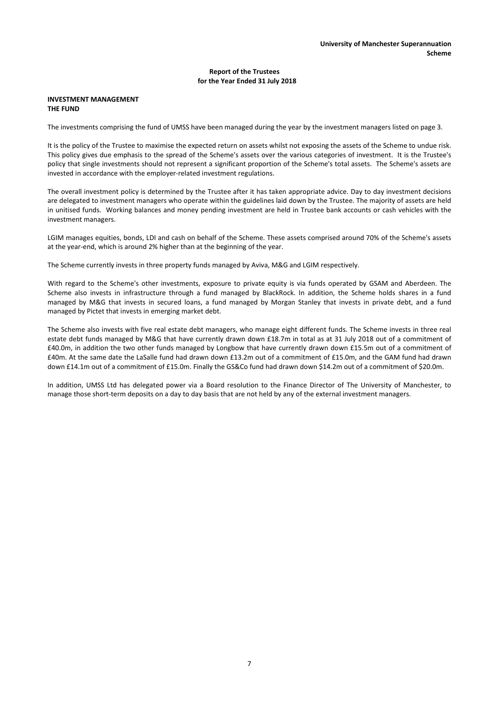#### **INVESTMENT MANAGEMENT THE FUND**

The investments comprising the fund of UMSS have been managed during the year by the investment managers listed on page 3.

It is the policy of the Trustee to maximise the expected return on assets whilst not exposing the assets of the Scheme to undue risk. This policy gives due emphasis to the spread of the Scheme's assets over the various categories of investment. It is the Trustee's policy that single investments should not represent a significant proportion of the Scheme's total assets. The Scheme's assets are invested in accordance with the employer-related investment regulations.

The overall investment policy is determined by the Trustee after it has taken appropriate advice. Day to day investment decisions are delegated to investment managers who operate within the guidelines laid down by the Trustee. The majority of assets are held in unitised funds. Working balances and money pending investment are held in Trustee bank accounts or cash vehicles with the investment managers.

LGIM manages equities, bonds, LDI and cash on behalf of the Scheme. These assets comprised around 70% of the Scheme's assets at the year-end, which is around 2% higher than at the beginning of the year.

The Scheme currently invests in three property funds managed by Aviva, M&G and LGIM respectively.

With regard to the Scheme's other investments, exposure to private equity is via funds operated by GSAM and Aberdeen. The Scheme also invests in infrastructure through a fund managed by BlackRock. In addition, the Scheme holds shares in a fund managed by M&G that invests in secured loans, a fund managed by Morgan Stanley that invests in private debt, and a fund managed by Pictet that invests in emerging market debt.

The Scheme also invests with five real estate debt managers, who manage eight different funds. The Scheme invests in three real estate debt funds managed by M&G that have currently drawn down £18.7m in total as at 31 July 2018 out of a commitment of £40.0m, in addition the two other funds managed by Longbow that have currently drawn down £15.5m out of a commitment of £40m. At the same date the LaSalle fund had drawn down £13.2m out of a commitment of £15.0m, and the GAM fund had drawn down £14.1m out of a commitment of £15.0m. Finally the GS&Co fund had drawn down \$14.2m out of a commitment of \$20.0m.

In addition, UMSS Ltd has delegated power via a Board resolution to the Finance Director of The University of Manchester, to manage those short-term deposits on a day to day basis that are not held by any of the external investment managers.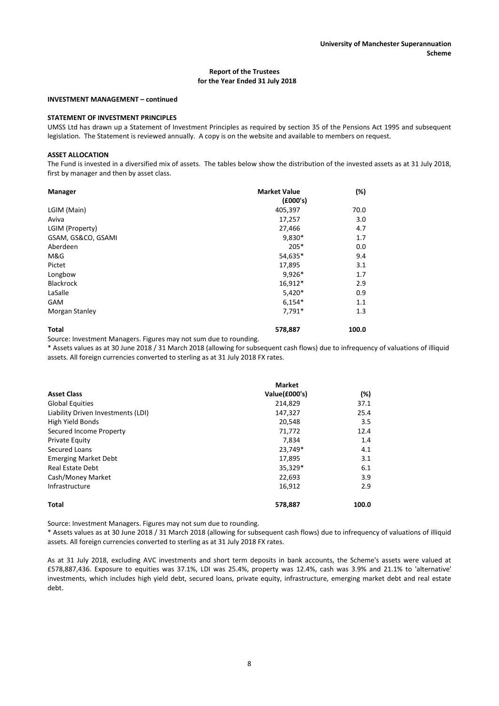#### **INVESTMENT MANAGEMENT – continued**

#### **STATEMENT OF INVESTMENT PRINCIPLES**

UMSS Ltd has drawn up a Statement of Investment Principles as required by section 35 of the Pensions Act 1995 and subsequent legislation. The Statement is reviewed annually. A copy is on the website and available to members on request.

#### **ASSET ALLOCATION**

The Fund is invested in a diversified mix of assets. The tables below show the distribution of the invested assets as at 31 July 2018, first by manager and then by asset class.

| <b>Manager</b>     | <b>Market Value</b><br>(£000's) | (%)   |
|--------------------|---------------------------------|-------|
| LGIM (Main)        | 405,397                         | 70.0  |
| Aviva              | 17,257                          | 3.0   |
| LGIM (Property)    | 27,466                          | 4.7   |
| GSAM, GS&CO, GSAMI | 9,830*                          | 1.7   |
| Aberdeen           | $205*$                          | 0.0   |
| M&G                | 54,635*                         | 9.4   |
| Pictet             | 17,895                          | 3.1   |
| Longbow            | 9,926*                          | 1.7   |
| <b>Blackrock</b>   | 16,912*                         | 2.9   |
| LaSalle            | $5,420*$                        | 0.9   |
| <b>GAM</b>         | $6,154*$                        | 1.1   |
| Morgan Stanley     | 7,791*                          | 1.3   |
| Total              | 578,887                         | 100.0 |

Source: Investment Managers. Figures may not sum due to rounding.

\* Assets values as at 30 June 2018 / 31 March 2018 (allowing for subsequent cash flows) due to infrequency of valuations of illiquid assets. All foreign currencies converted to sterling as at 31 July 2018 FX rates.

|                                    | <b>Market</b> |        |
|------------------------------------|---------------|--------|
| <b>Asset Class</b>                 | Value(£000's) | $(\%)$ |
| <b>Global Equities</b>             | 214,829       | 37.1   |
| Liability Driven Investments (LDI) | 147,327       | 25.4   |
| High Yield Bonds                   | 20,548        | 3.5    |
| Secured Income Property            | 71,772        | 12.4   |
| <b>Private Equity</b>              | 7.834         | 1.4    |
| Secured Loans                      | 23,749*       | 4.1    |
| <b>Emerging Market Debt</b>        | 17,895        | 3.1    |
| <b>Real Estate Debt</b>            | 35,329*       | 6.1    |
| Cash/Money Market                  | 22,693        | 3.9    |
| Infrastructure                     | 16,912        | 2.9    |
| <b>Total</b>                       | 578,887       | 100.0  |

Source: Investment Managers. Figures may not sum due to rounding.

\* Assets values as at 30 June 2018 / 31 March 2018 (allowing for subsequent cash flows) due to infrequency of valuations of illiquid assets. All foreign currencies converted to sterling as at 31 July 2018 FX rates.

As at 31 July 2018, excluding AVC investments and short term deposits in bank accounts, the Scheme's assets were valued at £578,887,436. Exposure to equities was 37.1%, LDI was 25.4%, property was 12.4%, cash was 3.9% and 21.1% to 'alternative' investments, which includes high yield debt, secured loans, private equity, infrastructure, emerging market debt and real estate debt.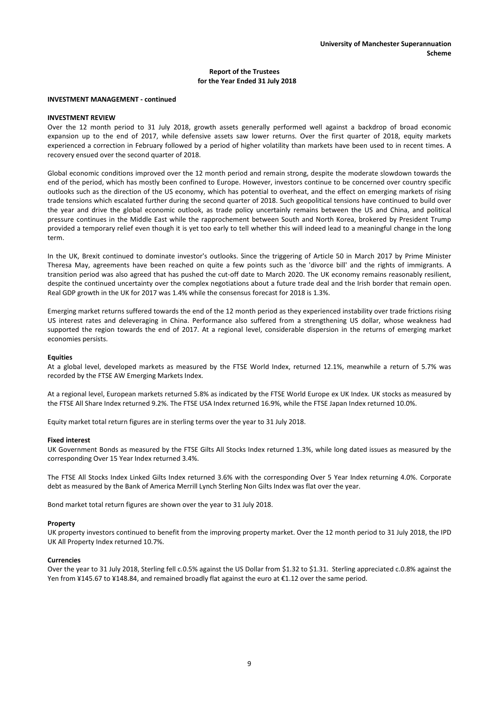#### **INVESTMENT MANAGEMENT - continued**

#### **INVESTMENT REVIEW**

Over the 12 month period to 31 July 2018, growth assets generally performed well against a backdrop of broad economic expansion up to the end of 2017, while defensive assets saw lower returns. Over the first quarter of 2018, equity markets experienced a correction in February followed by a period of higher volatility than markets have been used to in recent times. A recovery ensued over the second quarter of 2018.

Global economic conditions improved over the 12 month period and remain strong, despite the moderate slowdown towards the end of the period, which has mostly been confined to Europe. However, investors continue to be concerned over country specific outlooks such as the direction of the US economy, which has potential to overheat, and the effect on emerging markets of rising trade tensions which escalated further during the second quarter of 2018. Such geopolitical tensions have continued to build over the year and drive the global economic outlook, as trade policy uncertainly remains between the US and China, and political pressure continues in the Middle East while the rapprochement between South and North Korea, brokered by President Trump provided a temporary relief even though it is yet too early to tell whether this will indeed lead to a meaningful change in the long term.

In the UK, Brexit continued to dominate investor's outlooks. Since the triggering of Article 50 in March 2017 by Prime Minister Theresa May, agreements have been reached on quite a few points such as the 'divorce bill' and the rights of immigrants. A transition period was also agreed that has pushed the cut-off date to March 2020. The UK economy remains reasonably resilient, despite the continued uncertainty over the complex negotiations about a future trade deal and the Irish border that remain open. Real GDP growth in the UK for 2017 was 1.4% while the consensus forecast for 2018 is 1.3%.

Emerging market returns suffered towards the end of the 12 month period as they experienced instability over trade frictions rising US interest rates and deleveraging in China. Performance also suffered from a strengthening US dollar, whose weakness had supported the region towards the end of 2017. At a regional level, considerable dispersion in the returns of emerging market economies persists.

#### **Equities**

At a global level, developed markets as measured by the FTSE World Index, returned 12.1%, meanwhile a return of 5.7% was recorded by the FTSE AW Emerging Markets Index.

At a regional level, European markets returned 5.8% as indicated by the FTSE World Europe ex UK Index. UK stocks as measured by the FTSE All Share Index returned 9.2%. The FTSE USA Index returned 16.9%, while the FTSE Japan Index returned 10.0%.

Equity market total return figures are in sterling terms over the year to 31 July 2018.

#### **Fixed interest**

UK Government Bonds as measured by the FTSE Gilts All Stocks Index returned 1.3%, while long dated issues as measured by the corresponding Over 15 Year Index returned 3.4%.

The FTSE All Stocks Index Linked Gilts Index returned 3.6% with the corresponding Over 5 Year Index returning 4.0%. Corporate debt as measured by the Bank of America Merrill Lynch Sterling Non Gilts Index was flat over the year.

Bond market total return figures are shown over the year to 31 July 2018.

#### **Property**

UK property investors continued to benefit from the improving property market. Over the 12 month period to 31 July 2018, the IPD UK All Property Index returned 10.7%.

#### **Currencies**

Over the year to 31 July 2018, Sterling fell c.0.5% against the US Dollar from \$1.32 to \$1.31. Sterling appreciated c.0.8% against the Yen from ¥145.67 to ¥148.84, and remained broadly flat against the euro at €1.12 over the same period.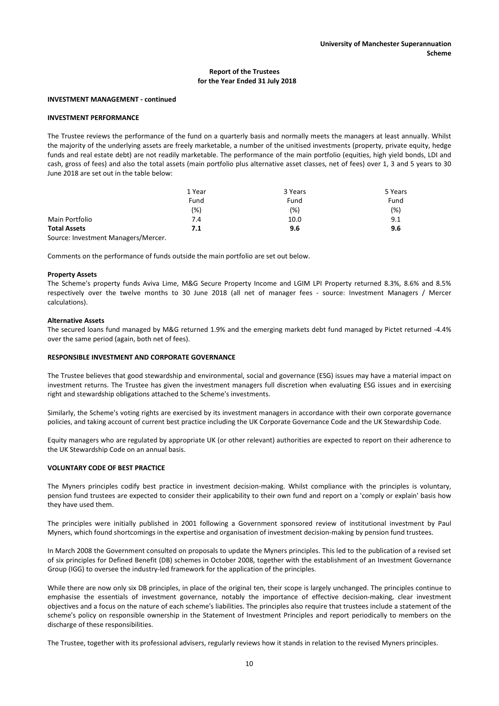#### **INVESTMENT MANAGEMENT - continued**

#### **INVESTMENT PERFORMANCE**

The Trustee reviews the performance of the fund on a quarterly basis and normally meets the managers at least annually. Whilst the majority of the underlying assets are freely marketable, a number of the unitised investments (property, private equity, hedge funds and real estate debt) are not readily marketable. The performance of the main portfolio (equities, high yield bonds, LDI and cash, gross of fees) and also the total assets (main portfolio plus alternative asset classes, net of fees) over 1, 3 and 5 years to 30 June 2018 are set out in the table below:

|                                     | 1 Year | 3 Years | 5 Years |
|-------------------------------------|--------|---------|---------|
|                                     | Fund   | Fund    | Fund    |
|                                     | (%)    | $(\%)$  | (%)     |
| Main Portfolio                      | 7.4    | 10.0    | 9.1     |
| <b>Total Assets</b>                 | 7.1    | 9.6     | 9.6     |
| Source: Investment Managers/Mercer. |        |         |         |

Comments on the performance of funds outside the main portfolio are set out below.

#### **Property Assets**

The Scheme's property funds Aviva Lime, M&G Secure Property Income and LGIM LPI Property returned 8.3%, 8.6% and 8.5% respectively over the twelve months to 30 June 2018 (all net of manager fees - source: Investment Managers / Mercer calculations).

#### **Alternative Assets**

The secured loans fund managed by M&G returned 1.9% and the emerging markets debt fund managed by Pictet returned -4.4% over the same period (again, both net of fees).

#### **RESPONSIBLE INVESTMENT AND CORPORATE GOVERNANCE**

The Trustee believes that good stewardship and environmental, social and governance (ESG) issues may have a material impact on investment returns. The Trustee has given the investment managers full discretion when evaluating ESG issues and in exercising right and stewardship obligations attached to the Scheme's investments.

Similarly, the Scheme's voting rights are exercised by its investment managers in accordance with their own corporate governance policies, and taking account of current best practice including the UK Corporate Governance Code and the UK Stewardship Code.

Equity managers who are regulated by appropriate UK (or other relevant) authorities are expected to report on their adherence to the UK Stewardship Code on an annual basis.

#### **VOLUNTARY CODE OF BEST PRACTICE**

The Myners principles codify best practice in investment decision-making. Whilst compliance with the principles is voluntary, pension fund trustees are expected to consider their applicability to their own fund and report on a 'comply or explain' basis how they have used them.

The principles were initially published in 2001 following a Government sponsored review of institutional investment by Paul Myners, which found shortcomings in the expertise and organisation of investment decision-making by pension fund trustees.

In March 2008 the Government consulted on proposals to update the Myners principles. This led to the publication of a revised set of six principles for Defined Benefit (DB) schemes in October 2008, together with the establishment of an Investment Governance Group (IGG) to oversee the industry-led framework for the application of the principles.

While there are now only six DB principles, in place of the original ten, their scope is largely unchanged. The principles continue to emphasise the essentials of investment governance, notably the importance of effective decision-making, clear investment objectives and a focus on the nature of each scheme's liabilities. The principles also require that trustees include a statement of the scheme's policy on responsible ownership in the Statement of Investment Principles and report periodically to members on the discharge of these responsibilities.

The Trustee, together with its professional advisers, regularly reviews how it stands in relation to the revised Myners principles.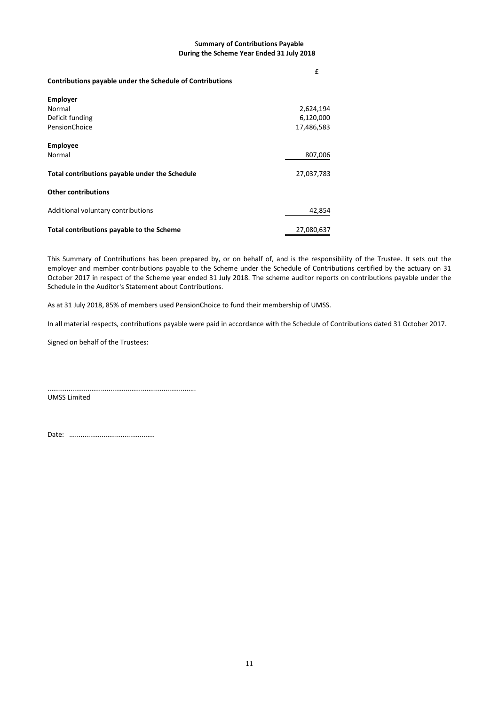#### S**ummary of Contributions Payable During the Scheme Year Ended 31 July 2018**

#### **Contributions payable under the Schedule of Contributions**

£

| <b>Employer</b>                                |            |
|------------------------------------------------|------------|
| Normal                                         | 2,624,194  |
| Deficit funding                                | 6,120,000  |
| PensionChoice                                  | 17,486,583 |
| <b>Employee</b>                                |            |
| Normal                                         | 807,006    |
| Total contributions payable under the Schedule | 27,037,783 |
| <b>Other contributions</b>                     |            |
| Additional voluntary contributions             | 42,854     |
| Total contributions payable to the Scheme      | 27,080,637 |

This Summary of Contributions has been prepared by, or on behalf of, and is the responsibility of the Trustee. It sets out the employer and member contributions payable to the Scheme under the Schedule of Contributions certified by the actuary on 31 October 2017 in respect of the Scheme year ended 31 July 2018. The scheme auditor reports on contributions payable under the Schedule in the Auditor's Statement about Contributions.

As at 31 July 2018, 85% of members used PensionChoice to fund their membership of UMSS.

In all material respects, contributions payable were paid in accordance with the Schedule of Contributions dated 31 October 2017.

Signed on behalf of the Trustees:

.............................................................................. UMSS Limited

Date: .............................................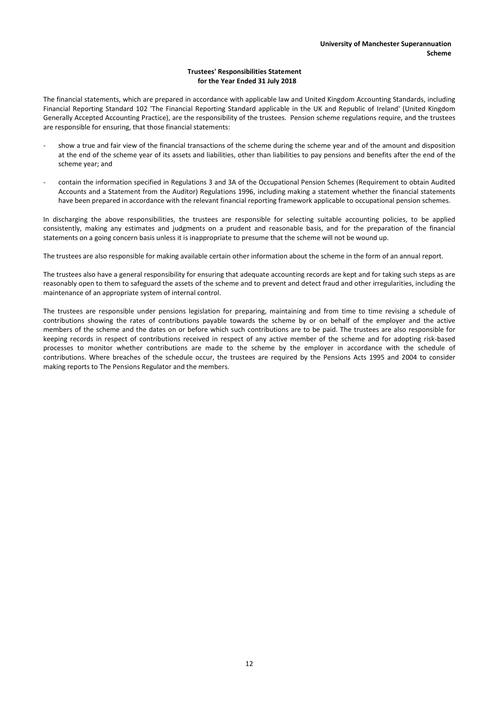#### **Trustees' Responsibilities Statement for the Year Ended 31 July 2018**

The financial statements, which are prepared in accordance with applicable law and United Kingdom Accounting Standards, including Financial Reporting Standard 102 'The Financial Reporting Standard applicable in the UK and Republic of Ireland' (United Kingdom Generally Accepted Accounting Practice), are the responsibility of the trustees. Pension scheme regulations require, and the trustees are responsible for ensuring, that those financial statements:

- show a true and fair view of the financial transactions of the scheme during the scheme year and of the amount and disposition at the end of the scheme year of its assets and liabilities, other than liabilities to pay pensions and benefits after the end of the scheme year; and
- contain the information specified in Regulations 3 and 3A of the Occupational Pension Schemes (Requirement to obtain Audited Accounts and a Statement from the Auditor) Regulations 1996, including making a statement whether the financial statements have been prepared in accordance with the relevant financial reporting framework applicable to occupational pension schemes.

In discharging the above responsibilities, the trustees are responsible for selecting suitable accounting policies, to be applied consistently, making any estimates and judgments on a prudent and reasonable basis, and for the preparation of the financial statements on a going concern basis unless it is inappropriate to presume that the scheme will not be wound up.

The trustees are also responsible for making available certain other information about the scheme in the form of an annual report.

The trustees also have a general responsibility for ensuring that adequate accounting records are kept and for taking such steps as are reasonably open to them to safeguard the assets of the scheme and to prevent and detect fraud and other irregularities, including the maintenance of an appropriate system of internal control.

The trustees are responsible under pensions legislation for preparing, maintaining and from time to time revising a schedule of contributions showing the rates of contributions payable towards the scheme by or on behalf of the employer and the active members of the scheme and the dates on or before which such contributions are to be paid. The trustees are also responsible for keeping records in respect of contributions received in respect of any active member of the scheme and for adopting risk-based processes to monitor whether contributions are made to the scheme by the employer in accordance with the schedule of contributions. Where breaches of the schedule occur, the trustees are required by the Pensions Acts 1995 and 2004 to consider making reports to The Pensions Regulator and the members.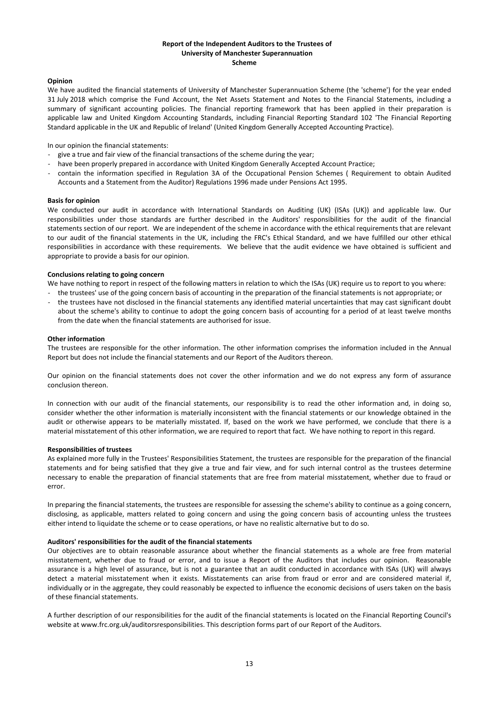#### **Report of the Independent Auditors to the Trustees of University of Manchester Superannuation Scheme**

#### **Opinion**

We have audited the financial statements of University of Manchester Superannuation Scheme (the 'scheme') for the year ended 31 July 2018 which comprise the Fund Account, the Net Assets Statement and Notes to the Financial Statements, including a summary of significant accounting policies. The financial reporting framework that has been applied in their preparation is applicable law and United Kingdom Accounting Standards, including Financial Reporting Standard 102 'The Financial Reporting Standard applicable in the UK and Republic of Ireland' (United Kingdom Generally Accepted Accounting Practice).

In our opinion the financial statements:

- give a true and fair view of the financial transactions of the scheme during the year;
- have been properly prepared in accordance with United Kingdom Generally Accepted Account Practice;
- contain the information specified in Regulation 3A of the Occupational Pension Schemes ( Requirement to obtain Audited Accounts and a Statement from the Auditor) Regulations 1996 made under Pensions Act 1995.

#### **Basis for opinion**

We conducted our audit in accordance with International Standards on Auditing (UK) (ISAs (UK)) and applicable law. Our responsibilities under those standards are further described in the Auditors' responsibilities for the audit of the financial statements section of our report. We are independent of the scheme in accordance with the ethical requirements that are relevant to our audit of the financial statements in the UK, including the FRC's Ethical Standard, and we have fulfilled our other ethical responsibilities in accordance with these requirements. We believe that the audit evidence we have obtained is sufficient and appropriate to provide a basis for our opinion.

#### **Conclusions relating to going concern**

We have nothing to report in respect of the following matters in relation to which the ISAs (UK) require us to report to you where:

- the trustees' use of the going concern basis of accounting in the preparation of the financial statements is not appropriate; or
- the trustees have not disclosed in the financial statements any identified material uncertainties that may cast significant doubt about the scheme's ability to continue to adopt the going concern basis of accounting for a period of at least twelve months from the date when the financial statements are authorised for issue.

#### **Other information**

The trustees are responsible for the other information. The other information comprises the information included in the Annual Report but does not include the financial statements and our Report of the Auditors thereon.

Our opinion on the financial statements does not cover the other information and we do not express any form of assurance conclusion thereon.

In connection with our audit of the financial statements, our responsibility is to read the other information and, in doing so, consider whether the other information is materially inconsistent with the financial statements or our knowledge obtained in the audit or otherwise appears to be materially misstated. If, based on the work we have performed, we conclude that there is a material misstatement of this other information, we are required to report that fact. We have nothing to report in this regard.

#### **Responsibilities of trustees**

As explained more fully in the Trustees' Responsibilities Statement, the trustees are responsible for the preparation of the financial statements and for being satisfied that they give a true and fair view, and for such internal control as the trustees determine necessary to enable the preparation of financial statements that are free from material misstatement, whether due to fraud or error.

In preparing the financial statements, the trustees are responsible for assessing the scheme's ability to continue as a going concern, disclosing, as applicable, matters related to going concern and using the going concern basis of accounting unless the trustees either intend to liquidate the scheme or to cease operations, or have no realistic alternative but to do so.

#### **Auditors' responsibilities for the audit of the financial statements**

Our objectives are to obtain reasonable assurance about whether the financial statements as a whole are free from material misstatement, whether due to fraud or error, and to issue a Report of the Auditors that includes our opinion. Reasonable assurance is a high level of assurance, but is not a guarantee that an audit conducted in accordance with ISAs (UK) will always detect a material misstatement when it exists. Misstatements can arise from fraud or error and are considered material if, individually or in the aggregate, they could reasonably be expected to influence the economic decisions of users taken on the basis of these financial statements.

A further description of our responsibilities for the audit of the financial statements is located on the Financial Reporting Council's website at www.frc.org.uk/auditorsresponsibilities. This description forms part of our Report of the Auditors.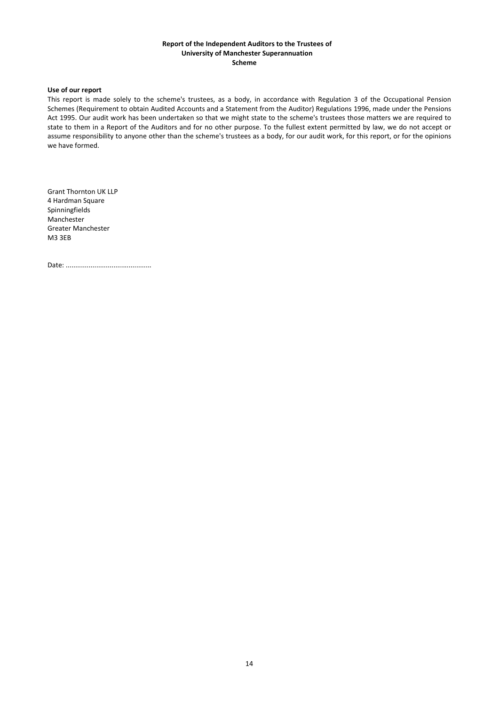#### **Report of the Independent Auditors to the Trustees of University of Manchester Superannuation Scheme**

#### **Use of our report**

This report is made solely to the scheme's trustees, as a body, in accordance with Regulation 3 of the Occupational Pension Schemes (Requirement to obtain Audited Accounts and a Statement from the Auditor) Regulations 1996, made under the Pensions Act 1995. Our audit work has been undertaken so that we might state to the scheme's trustees those matters we are required to state to them in a Report of the Auditors and for no other purpose. To the fullest extent permitted by law, we do not accept or assume responsibility to anyone other than the scheme's trustees as a body, for our audit work, for this report, or for the opinions we have formed.

Grant Thornton UK LLP 4 Hardman Square Spinningfields Manchester Greater Manchester M3 3EB

Date: .............................................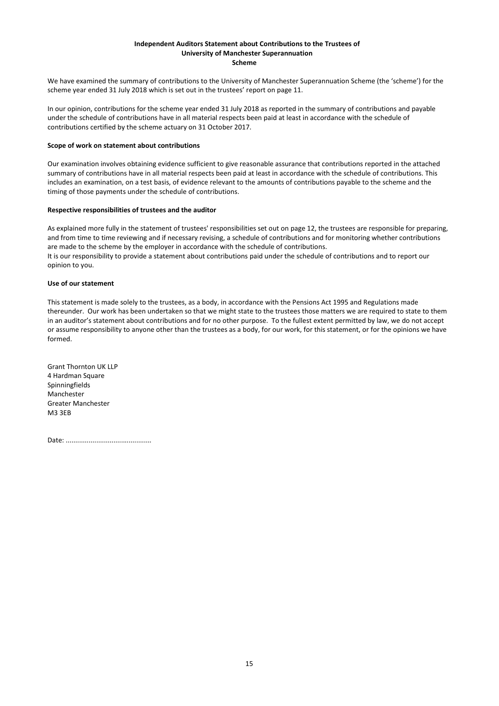#### **Independent Auditors Statement about Contributions to the Trustees of University of Manchester Superannuation Scheme**

We have examined the summary of contributions to the University of Manchester Superannuation Scheme (the 'scheme') for the scheme year ended 31 July 2018 which is set out in the trustees' report on page 11.

In our opinion, contributions for the scheme year ended 31 July 2018 as reported in the summary of contributions and payable under the schedule of contributions have in all material respects been paid at least in accordance with the schedule of contributions certified by the scheme actuary on 31 October 2017.

#### **Scope of work on statement about contributions**

Our examination involves obtaining evidence sufficient to give reasonable assurance that contributions reported in the attached summary of contributions have in all material respects been paid at least in accordance with the schedule of contributions. This includes an examination, on a test basis, of evidence relevant to the amounts of contributions payable to the scheme and the timing of those payments under the schedule of contributions.

#### **Respective responsibilities of trustees and the auditor**

As explained more fully in the statement of trustees' responsibilities set out on page 12, the trustees are responsible for preparing, and from time to time reviewing and if necessary revising, a schedule of contributions and for monitoring whether contributions are made to the scheme by the employer in accordance with the schedule of contributions. It is our responsibility to provide a statement about contributions paid under the schedule of contributions and to report our opinion to you.

#### **Use of our statement**

This statement is made solely to the trustees, as a body, in accordance with the Pensions Act 1995 and Regulations made thereunder. Our work has been undertaken so that we might state to the trustees those matters we are required to state to them in an auditor's statement about contributions and for no other purpose. To the fullest extent permitted by law, we do not accept or assume responsibility to anyone other than the trustees as a body, for our work, for this statement, or for the opinions we have formed.

Grant Thornton UK LLP 4 Hardman Square Spinningfields Manchester Greater Manchester M3 3EB

Date: .............................................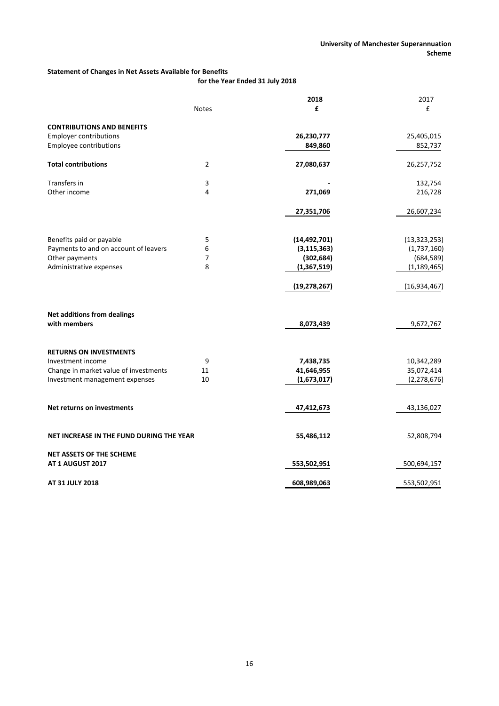# **Statement of Changes in Net Assets Available for Benefits**

**for the Year Ended 31 July 2018**

|                                          |              | 2018           | 2017           |
|------------------------------------------|--------------|----------------|----------------|
|                                          | <b>Notes</b> | £              | £              |
| <b>CONTRIBUTIONS AND BENEFITS</b>        |              |                |                |
| <b>Employer contributions</b>            |              | 26,230,777     | 25,405,015     |
| Employee contributions                   |              | 849,860        | 852,737        |
| <b>Total contributions</b>               | 2            | 27,080,637     | 26,257,752     |
| Transfers in                             | 3            |                | 132,754        |
| Other income                             | 4            | 271,069        | 216,728        |
|                                          |              | 27,351,706     | 26,607,234     |
| Benefits paid or payable                 | 5            | (14, 492, 701) | (13, 323, 253) |
| Payments to and on account of leavers    | 6            | (3, 115, 363)  | (1,737,160)    |
| Other payments                           | 7            | (302, 684)     | (684, 589)     |
| Administrative expenses                  | 8            | (1, 367, 519)  | (1, 189, 465)  |
|                                          |              |                |                |
|                                          |              | (19, 278, 267) | (16, 934, 467) |
| Net additions from dealings              |              |                |                |
| with members                             |              | 8,073,439      | 9,672,767      |
| <b>RETURNS ON INVESTMENTS</b>            |              |                |                |
| Investment income                        | 9            | 7,438,735      | 10,342,289     |
| Change in market value of investments    | 11           | 41,646,955     | 35,072,414     |
| Investment management expenses           | 10           | (1,673,017)    | (2, 278, 676)  |
| Net returns on investments               |              | 47,412,673     | 43,136,027     |
| NET INCREASE IN THE FUND DURING THE YEAR |              | 55,486,112     | 52,808,794     |
| <b>NET ASSETS OF THE SCHEME</b>          |              |                |                |
| AT 1 AUGUST 2017                         |              | 553,502,951    | 500,694,157    |
| AT 31 JULY 2018                          |              | 608,989,063    | 553,502,951    |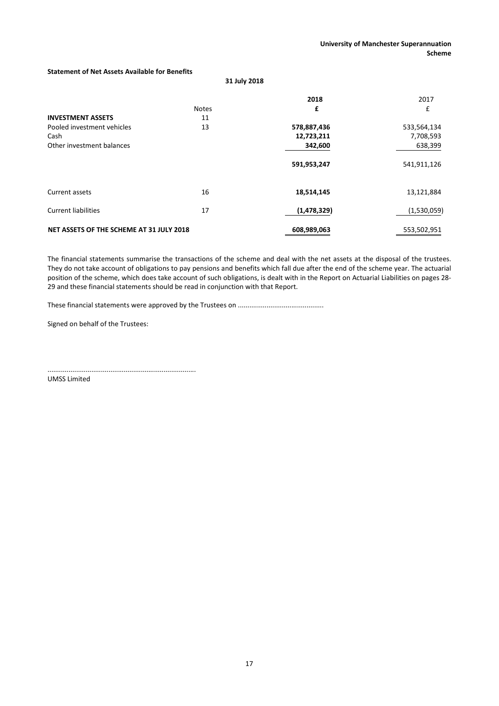# **Statement of Net Assets Available for Benefits**

|                                          | 31 July 2018 |             |             |
|------------------------------------------|--------------|-------------|-------------|
|                                          |              | 2018        | 2017        |
|                                          | <b>Notes</b> | £           | £           |
| <b>INVESTMENT ASSETS</b>                 | 11           |             |             |
| Pooled investment vehicles               | 13           | 578,887,436 | 533,564,134 |
| Cash                                     |              | 12,723,211  | 7,708,593   |
| Other investment balances                |              | 342,600     | 638,399     |
|                                          |              | 591,953,247 | 541,911,126 |
| Current assets                           | 16           | 18,514,145  | 13,121,884  |
| <b>Current liabilities</b>               | 17           | (1,478,329) | (1,530,059) |
| NET ASSETS OF THE SCHEME AT 31 JULY 2018 |              | 608,989,063 | 553,502,951 |

The financial statements summarise the transactions of the scheme and deal with the net assets at the disposal of the trustees. They do not take account of obligations to pay pensions and benefits which fall due after the end of the scheme year. The actuarial position of the scheme, which does take account of such obligations, is dealt with in the Report on Actuarial Liabilities on pages 28- 29 and these financial statements should be read in conjunction with that Report.

These financial statements were approved by the Trustees on .............................................

Signed on behalf of the Trustees:

..............................................................................

UMSS Limited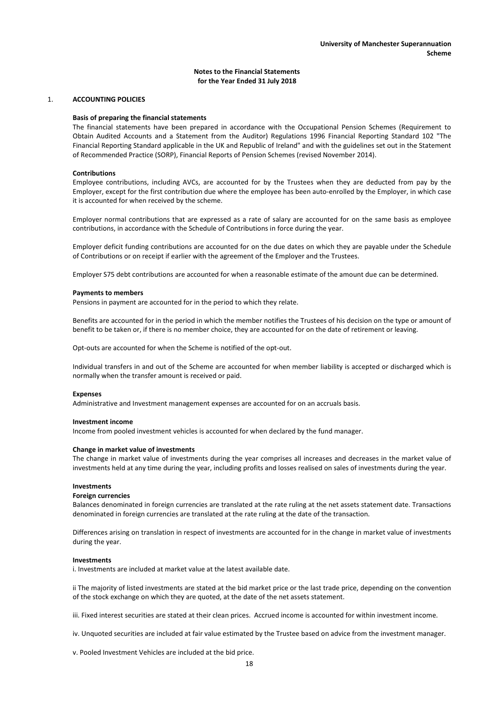#### 1. **ACCOUNTING POLICIES**

#### **Basis of preparing the financial statements**

The financial statements have been prepared in accordance with the Occupational Pension Schemes (Requirement to Obtain Audited Accounts and a Statement from the Auditor) Regulations 1996 Financial Reporting Standard 102 "The Financial Reporting Standard applicable in the UK and Republic of Ireland" and with the guidelines set out in the Statement of Recommended Practice (SORP), Financial Reports of Pension Schemes (revised November 2014).

#### **Contributions**

Employee contributions, including AVCs, are accounted for by the Trustees when they are deducted from pay by the Employer, except for the first contribution due where the employee has been auto-enrolled by the Employer, in which case it is accounted for when received by the scheme.

Employer normal contributions that are expressed as a rate of salary are accounted for on the same basis as employee contributions, in accordance with the Schedule of Contributions in force during the year.

Employer deficit funding contributions are accounted for on the due dates on which they are payable under the Schedule of Contributions or on receipt if earlier with the agreement of the Employer and the Trustees.

Employer S75 debt contributions are accounted for when a reasonable estimate of the amount due can be determined.

#### **Payments to members**

Pensions in payment are accounted for in the period to which they relate.

Benefits are accounted for in the period in which the member notifies the Trustees of his decision on the type or amount of benefit to be taken or, if there is no member choice, they are accounted for on the date of retirement or leaving.

Opt-outs are accounted for when the Scheme is notified of the opt-out.

Individual transfers in and out of the Scheme are accounted for when member liability is accepted or discharged which is normally when the transfer amount is received or paid.

#### **Expenses**

Administrative and Investment management expenses are accounted for on an accruals basis.

#### **Investment income**

Income from pooled investment vehicles is accounted for when declared by the fund manager.

#### **Change in market value of investments**

The change in market value of investments during the year comprises all increases and decreases in the market value of investments held at any time during the year, including profits and losses realised on sales of investments during the year.

#### **Investments**

#### **Foreign currencies**

Balances denominated in foreign currencies are translated at the rate ruling at the net assets statement date. Transactions denominated in foreign currencies are translated at the rate ruling at the date of the transaction.

Differences arising on translation in respect of investments are accounted for in the change in market value of investments during the year.

#### **Investments**

i. Investments are included at market value at the latest available date.

ii The majority of listed investments are stated at the bid market price or the last trade price, depending on the convention of the stock exchange on which they are quoted, at the date of the net assets statement.

iii. Fixed interest securities are stated at their clean prices. Accrued income is accounted for within investment income.

iv. Unquoted securities are included at fair value estimated by the Trustee based on advice from the investment manager.

v. Pooled Investment Vehicles are included at the bid price.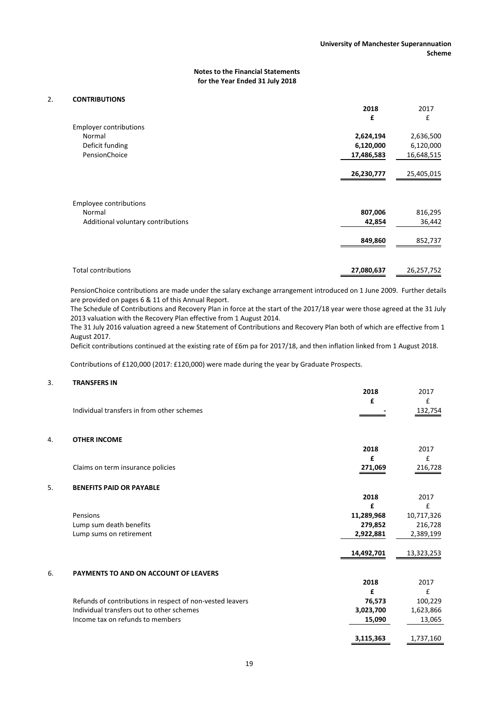#### 2. **CONTRIBUTIONS**

|                                    | 2018       | 2017       |
|------------------------------------|------------|------------|
|                                    | £          | £          |
| <b>Employer contributions</b>      |            |            |
| Normal                             | 2,624,194  | 2,636,500  |
| Deficit funding                    | 6,120,000  | 6,120,000  |
| PensionChoice                      | 17,486,583 | 16,648,515 |
|                                    | 26,230,777 | 25,405,015 |
| <b>Employee contributions</b>      |            |            |
| Normal                             | 807,006    | 816,295    |
| Additional voluntary contributions | 42,854     | 36,442     |
|                                    | 849,860    | 852,737    |
|                                    |            |            |
| <b>Total contributions</b>         | 27,080,637 | 26,257,752 |

PensionChoice contributions are made under the salary exchange arrangement introduced on 1 June 2009. Further details are provided on pages 6 & 11 of this Annual Report.

The Schedule of Contributions and Recovery Plan in force at the start of the 2017/18 year were those agreed at the 31 July 2013 valuation with the Recovery Plan effective from 1 August 2014.

The 31 July 2016 valuation agreed a new Statement of Contributions and Recovery Plan both of which are effective from 1 August 2017.

Deficit contributions continued at the existing rate of £6m pa for 2017/18, and then inflation linked from 1 August 2018.

Contributions of £120,000 (2017: £120,000) were made during the year by Graduate Prospects.

# 3. **TRANSFERS IN**

|    |                                                           | 2018       | 2017       |
|----|-----------------------------------------------------------|------------|------------|
|    |                                                           | £          | £          |
|    | Individual transfers in from other schemes                |            | 132,754    |
|    |                                                           |            |            |
| 4. | <b>OTHER INCOME</b>                                       |            |            |
|    |                                                           | 2018       | 2017       |
|    |                                                           | £          | £          |
|    | Claims on term insurance policies                         | 271,069    | 216,728    |
|    |                                                           |            |            |
| 5. | <b>BENEFITS PAID OR PAYABLE</b>                           |            |            |
|    |                                                           | 2018       | 2017       |
|    |                                                           | £          | £          |
|    | Pensions                                                  | 11,289,968 | 10,717,326 |
|    | Lump sum death benefits                                   | 279,852    | 216,728    |
|    | Lump sums on retirement                                   | 2,922,881  | 2,389,199  |
|    |                                                           |            |            |
|    |                                                           | 14,492,701 | 13,323,253 |
|    |                                                           |            |            |
| 6. | PAYMENTS TO AND ON ACCOUNT OF LEAVERS                     |            |            |
|    |                                                           | 2018       | 2017       |
|    |                                                           | £          | £          |
|    | Refunds of contributions in respect of non-vested leavers | 76,573     | 100,229    |
|    | Individual transfers out to other schemes                 | 3,023,700  | 1,623,866  |
|    | Income tax on refunds to members                          | 15,090     | 13,065     |
|    |                                                           |            |            |
|    |                                                           | 3,115,363  | 1,737,160  |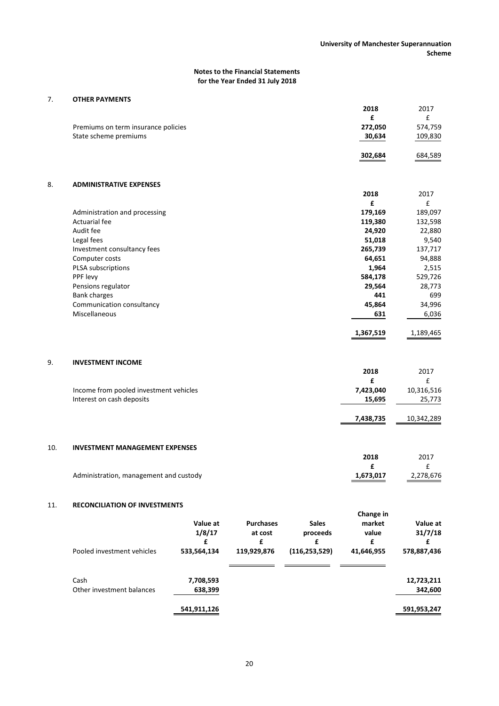| 7.  | <b>OTHER PAYMENTS</b>                  |                                 |                  |             |                     |
|-----|----------------------------------------|---------------------------------|------------------|-------------|---------------------|
|     |                                        |                                 |                  | 2018        | 2017                |
|     |                                        |                                 |                  | £           | £                   |
|     | Premiums on term insurance policies    |                                 |                  | 272,050     | 574,759             |
|     | State scheme premiums                  |                                 |                  | 30,634      | 109,830             |
|     |                                        |                                 |                  | 302,684     | 684,589             |
| 8.  | <b>ADMINISTRATIVE EXPENSES</b>         |                                 |                  |             |                     |
|     |                                        |                                 |                  | 2018        | 2017                |
|     |                                        |                                 |                  | £           | £                   |
|     | Administration and processing          |                                 |                  | 179,169     | 189,097             |
|     | <b>Actuarial fee</b>                   |                                 |                  | 119,380     | 132,598             |
|     | Audit fee                              |                                 |                  | 24,920      | 22,880              |
|     | Legal fees                             |                                 |                  | 51,018      | 9,540               |
|     | Investment consultancy fees            |                                 |                  | 265,739     | 137,717             |
|     | Computer costs                         |                                 |                  | 64,651      | 94,888              |
|     | PLSA subscriptions                     |                                 |                  | 1,964       | 2,515               |
|     | PPF levy                               |                                 |                  | 584,178     | 529,726             |
|     | Pensions regulator                     |                                 |                  | 29,564      | 28,773              |
|     | <b>Bank charges</b>                    |                                 |                  | 441         | 699                 |
|     | Communication consultancy              |                                 |                  | 45,864      | 34,996              |
|     | Miscellaneous                          |                                 |                  | 631         | 6,036               |
|     |                                        |                                 |                  | 1,367,519   | 1,189,465           |
| 9.  | <b>INVESTMENT INCOME</b>               |                                 |                  |             |                     |
|     |                                        |                                 |                  | 2018        | 2017                |
|     |                                        |                                 |                  | £           | £                   |
|     | Income from pooled investment vehicles |                                 |                  | 7,423,040   | 10,316,516          |
|     | Interest on cash deposits              |                                 |                  | 15,695      | 25,773              |
|     |                                        |                                 |                  | 7,438,735   | 10,342,289          |
|     |                                        |                                 |                  |             |                     |
| 10. | <b>INVESTMENT MANAGEMENT EXPENSES</b>  |                                 |                  | 2018        | 2017                |
|     |                                        |                                 |                  | £           | £                   |
|     | Administration, management and custody |                                 |                  | 1,673,017   | 2,278,676           |
| 11. | <b>RECONCILIATION OF INVESTMENTS</b>   |                                 |                  |             |                     |
|     |                                        |                                 |                  | Change in   |                     |
|     | Value at<br>10117                      | <b>Purchases</b><br>$-1 - - -1$ | <b>Sales</b><br> | market<br>. | Value at<br>21/7/10 |

| Pooled investment vehicles        | 1/8/17<br>£<br>533,564,134 | at cost<br>£<br>119.929.876 | proceeds<br>£<br>(116, 253, 529) | value<br>£<br>41,646,955 | 31/7/18<br>578,887,436 |
|-----------------------------------|----------------------------|-----------------------------|----------------------------------|--------------------------|------------------------|
|                                   |                            |                             |                                  |                          |                        |
| Cash<br>Other investment balances | 7,708,593<br>638,399       |                             |                                  |                          | 12,723,211<br>342,600  |
|                                   | 541,911,126                |                             |                                  |                          | 591,953,247            |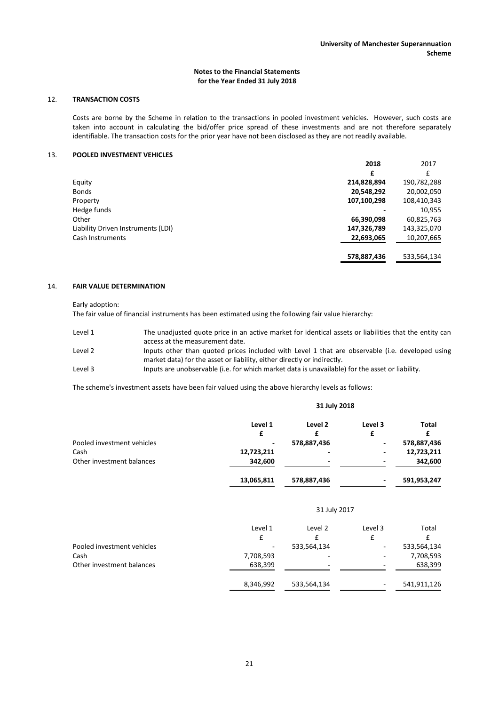#### 12. **TRANSACTION COSTS**

Costs are borne by the Scheme in relation to the transactions in pooled investment vehicles. However, such costs are taken into account in calculating the bid/offer price spread of these investments and are not therefore separately identifiable. The transaction costs for the prior year have not been disclosed as they are not readily available.

#### 13. **POOLED INVESTMENT VEHICLES**

|                                    | 2018        | 2017        |
|------------------------------------|-------------|-------------|
|                                    | £           | £           |
| Equity                             | 214,828,894 | 190,782,288 |
| <b>Bonds</b>                       | 20,548,292  | 20,002,050  |
| Property                           | 107,100,298 | 108,410,343 |
| Hedge funds                        |             | 10,955      |
| Other                              | 66,390,098  | 60,825,763  |
| Liability Driven Instruments (LDI) | 147,326,789 | 143,325,070 |
| Cash Instruments                   | 22,693,065  | 10,207,665  |
|                                    | 578,887,436 | 533,564,134 |

#### 14. **FAIR VALUE DETERMINATION**

Early adoption:

The fair value of financial instruments has been estimated using the following fair value hierarchy:

| Level 1 | The unadjusted quote price in an active market for identical assets or liabilities that the entity can                                                                     |
|---------|----------------------------------------------------------------------------------------------------------------------------------------------------------------------------|
|         | access at the measurement date.                                                                                                                                            |
| Level 2 | Inputs other than quoted prices included with Level 1 that are observable (i.e. developed using<br>market data) for the asset or liability, either directly or indirectly. |
| Level 3 | Inputs are unobservable (i.e. for which market data is unavailable) for the asset or liability.                                                                            |

The scheme's investment assets have been fair valued using the above hierarchy levels as follows:

#### **31 July 2018**

|                            | Level 1                  | Level 2     | Level 3 | Total       |
|----------------------------|--------------------------|-------------|---------|-------------|
|                            |                          |             |         | £           |
| Pooled investment vehicles | $\overline{\phantom{a}}$ | 578,887,436 | -       | 578,887,436 |
| Cash                       | 12,723,211               | -           | -       | 12,723,211  |
| Other investment balances  | 342,600                  | -           | -       | 342,600     |
|                            | 13,065,811               | 578,887,436 | -       | 591,953,247 |

# 31 July 2017

|                            | Level 1<br>£ | Level 2     | Level 3 | Total       |
|----------------------------|--------------|-------------|---------|-------------|
| Pooled investment vehicles | ٠            | 533,564,134 | -       | 533,564,134 |
| Cash                       | 7,708,593    |             |         | 7,708,593   |
| Other investment balances  | 638,399      | -           |         | 638,399     |
|                            | 8,346,992    | 533,564,134 | -       | 541,911,126 |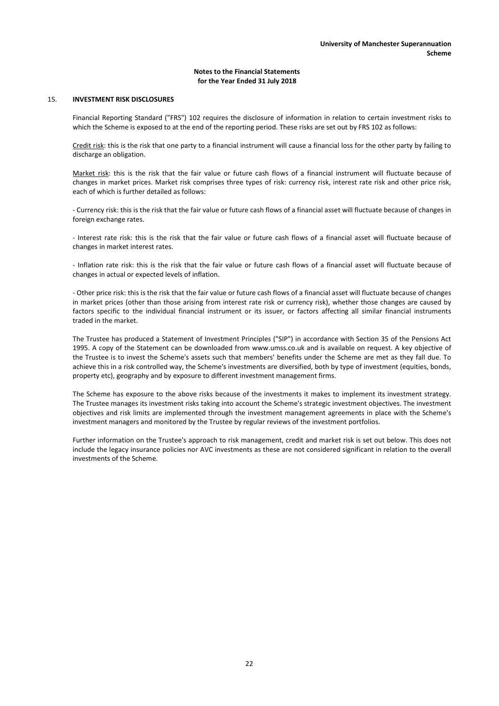#### 15. **INVESTMENT RISK DISCLOSURES**

Financial Reporting Standard ("FRS") 102 requires the disclosure of information in relation to certain investment risks to which the Scheme is exposed to at the end of the reporting period. These risks are set out by FRS 102 as follows:

Credit risk: this is the risk that one party to a financial instrument will cause a financial loss for the other party by failing to discharge an obligation.

Market risk: this is the risk that the fair value or future cash flows of a financial instrument will fluctuate because of changes in market prices. Market risk comprises three types of risk: currency risk, interest rate risk and other price risk, each of which is further detailed as follows:

- Currency risk: this is the risk that the fair value or future cash flows of a financial asset will fluctuate because of changes in foreign exchange rates.

- Interest rate risk: this is the risk that the fair value or future cash flows of a financial asset will fluctuate because of changes in market interest rates.

- Inflation rate risk: this is the risk that the fair value or future cash flows of a financial asset will fluctuate because of changes in actual or expected levels of inflation.

- Other price risk: this is the risk that the fair value or future cash flows of a financial asset will fluctuate because of changes in market prices (other than those arising from interest rate risk or currency risk), whether those changes are caused by factors specific to the individual financial instrument or its issuer, or factors affecting all similar financial instruments traded in the market.

The Trustee has produced a Statement of Investment Principles ("SIP") in accordance with Section 35 of the Pensions Act 1995. A copy of the Statement can be downloaded from www.umss.co.uk and is available on request. A key objective of the Trustee is to invest the Scheme's assets such that members' benefits under the Scheme are met as they fall due. To achieve this in a risk controlled way, the Scheme's investments are diversified, both by type of investment (equities, bonds, property etc), geography and by exposure to different investment management firms.

The Scheme has exposure to the above risks because of the investments it makes to implement its investment strategy. The Trustee manages its investment risks taking into account the Scheme's strategic investment objectives. The investment objectives and risk limits are implemented through the investment management agreements in place with the Scheme's investment managers and monitored by the Trustee by regular reviews of the investment portfolios.

Further information on the Trustee's approach to risk management, credit and market risk is set out below. This does not include the legacy insurance policies nor AVC investments as these are not considered significant in relation to the overall investments of the Scheme.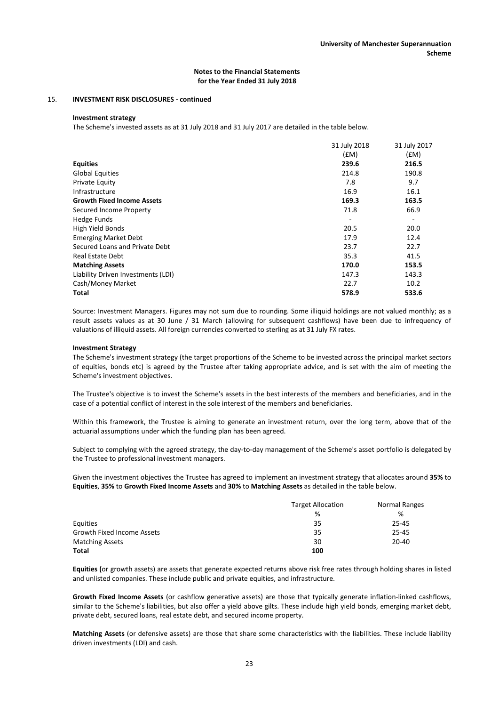#### 15. **INVESTMENT RISK DISCLOSURES - continued**

#### **Investment strategy**

The Scheme's invested assets as at 31 July 2018 and 31 July 2017 are detailed in the table below.

|                                    | 31 July 2018 | 31 July 2017 |
|------------------------------------|--------------|--------------|
|                                    | fEM          | (£M)         |
| <b>Equities</b>                    | 239.6        | 216.5        |
| <b>Global Equities</b>             | 214.8        | 190.8        |
| Private Equity                     | 7.8          | 9.7          |
| Infrastructure                     | 16.9         | 16.1         |
| <b>Growth Fixed Income Assets</b>  | 169.3        | 163.5        |
| Secured Income Property            | 71.8         | 66.9         |
| Hedge Funds                        |              |              |
| High Yield Bonds                   | 20.5         | 20.0         |
| <b>Emerging Market Debt</b>        | 17.9         | 12.4         |
| Secured Loans and Private Debt     | 23.7         | 22.7         |
| Real Estate Debt                   | 35.3         | 41.5         |
| <b>Matching Assets</b>             | 170.0        | 153.5        |
| Liability Driven Investments (LDI) | 147.3        | 143.3        |
| Cash/Money Market                  | 22.7         | 10.2         |
| Total                              | 578.9        | 533.6        |

Source: Investment Managers. Figures may not sum due to rounding. Some illiquid holdings are not valued monthly; as a result assets values as at 30 June / 31 March (allowing for subsequent cashflows) have been due to infrequency of valuations of illiquid assets. All foreign currencies converted to sterling as at 31 July FX rates.

#### **Investment Strategy**

The Scheme's investment strategy (the target proportions of the Scheme to be invested across the principal market sectors of equities, bonds etc) is agreed by the Trustee after taking appropriate advice, and is set with the aim of meeting the Scheme's investment objectives.

The Trustee's objective is to invest the Scheme's assets in the best interests of the members and beneficiaries, and in the case of a potential conflict of interest in the sole interest of the members and beneficiaries.

Within this framework, the Trustee is aiming to generate an investment return, over the long term, above that of the actuarial assumptions under which the funding plan has been agreed.

Subject to complying with the agreed strategy, the day-to-day management of the Scheme's asset portfolio is delegated by the Trustee to professional investment managers.

Given the investment objectives the Trustee has agreed to implement an investment strategy that allocates around **35%** to **Equities**, **35%** to **Growth Fixed Income Assets** and **30%** to **Matching Assets** as detailed in the table below.

|                            | <b>Target Allocation</b> | Normal Ranges |
|----------------------------|--------------------------|---------------|
|                            | %                        | %             |
| Equities                   | 35                       | 25-45         |
| Growth Fixed Income Assets | 35                       | 25-45         |
| <b>Matching Assets</b>     | 30                       | $20 - 40$     |
| <b>Total</b>               | 100                      |               |

**Equities (**or growth assets) are assets that generate expected returns above risk free rates through holding shares in listed and unlisted companies. These include public and private equities, and infrastructure.

**Growth Fixed Income Assets** (or cashflow generative assets) are those that typically generate inflation-linked cashflows, similar to the Scheme's liabilities, but also offer a yield above gilts. These include high yield bonds, emerging market debt, private debt, secured loans, real estate debt, and secured income property.

**Matching Assets** (or defensive assets) are those that share some characteristics with the liabilities. These include liability driven investments (LDI) and cash.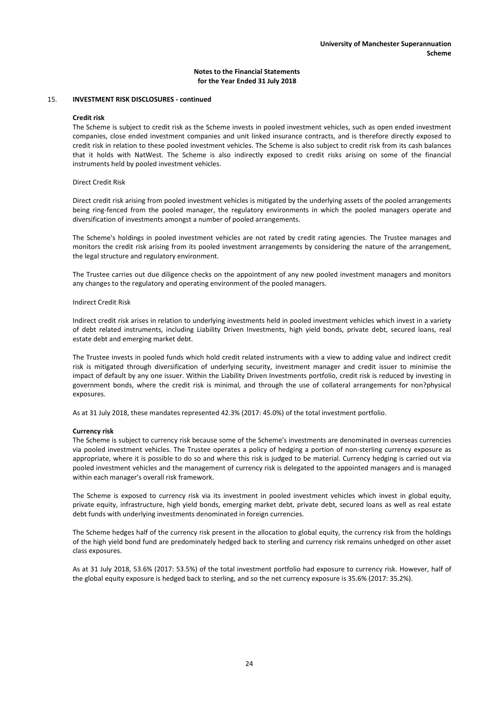#### 15. **INVESTMENT RISK DISCLOSURES - continued**

#### **Credit risk**

The Scheme is subject to credit risk as the Scheme invests in pooled investment vehicles, such as open ended investment companies, close ended investment companies and unit linked insurance contracts, and is therefore directly exposed to credit risk in relation to these pooled investment vehicles. The Scheme is also subject to credit risk from its cash balances that it holds with NatWest. The Scheme is also indirectly exposed to credit risks arising on some of the financial instruments held by pooled investment vehicles.

#### Direct Credit Risk

Direct credit risk arising from pooled investment vehicles is mitigated by the underlying assets of the pooled arrangements being ring-fenced from the pooled manager, the regulatory environments in which the pooled managers operate and diversification of investments amongst a number of pooled arrangements.

The Scheme's holdings in pooled investment vehicles are not rated by credit rating agencies. The Trustee manages and monitors the credit risk arising from its pooled investment arrangements by considering the nature of the arrangement, the legal structure and regulatory environment.

The Trustee carries out due diligence checks on the appointment of any new pooled investment managers and monitors any changes to the regulatory and operating environment of the pooled managers.

#### Indirect Credit Risk

Indirect credit risk arises in relation to underlying investments held in pooled investment vehicles which invest in a variety of debt related instruments, including Liability Driven Investments, high yield bonds, private debt, secured loans, real estate debt and emerging market debt.

The Trustee invests in pooled funds which hold credit related instruments with a view to adding value and indirect credit risk is mitigated through diversification of underlying security, investment manager and credit issuer to minimise the impact of default by any one issuer. Within the Liability Driven Investments portfolio, credit risk is reduced by investing in government bonds, where the credit risk is minimal, and through the use of collateral arrangements for non?physical exposures.

As at 31 July 2018, these mandates represented 42.3% (2017: 45.0%) of the total investment portfolio.

#### **Currency risk**

The Scheme is subject to currency risk because some of the Scheme's investments are denominated in overseas currencies via pooled investment vehicles. The Trustee operates a policy of hedging a portion of non-sterling currency exposure as appropriate, where it is possible to do so and where this risk is judged to be material. Currency hedging is carried out via pooled investment vehicles and the management of currency risk is delegated to the appointed managers and is managed within each manager's overall risk framework.

The Scheme is exposed to currency risk via its investment in pooled investment vehicles which invest in global equity, private equity, infrastructure, high yield bonds, emerging market debt, private debt, secured loans as well as real estate debt funds with underlying investments denominated in foreign currencies.

The Scheme hedges half of the currency risk present in the allocation to global equity, the currency risk from the holdings of the high yield bond fund are predominately hedged back to sterling and currency risk remains unhedged on other asset class exposures.

As at 31 July 2018, 53.6% (2017: 53.5%) of the total investment portfolio had exposure to currency risk. However, half of the global equity exposure is hedged back to sterling, and so the net currency exposure is 35.6% (2017: 35.2%).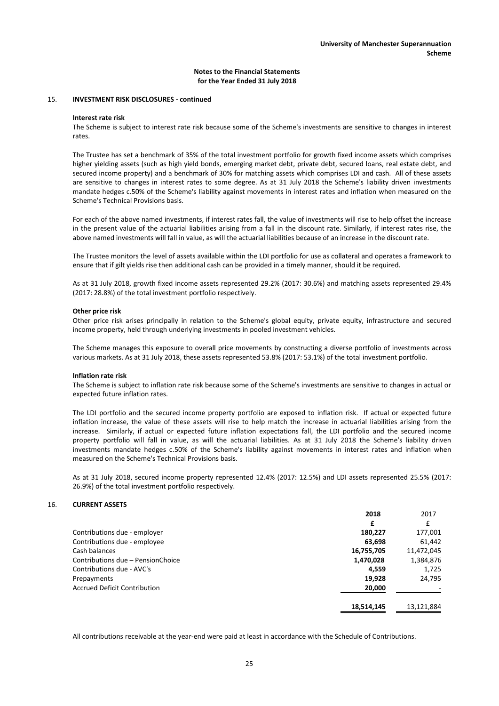#### 15. **INVESTMENT RISK DISCLOSURES - continued**

#### **Interest rate risk**

The Scheme is subject to interest rate risk because some of the Scheme's investments are sensitive to changes in interest rates.

The Trustee has set a benchmark of 35% of the total investment portfolio for growth fixed income assets which comprises higher yielding assets (such as high yield bonds, emerging market debt, private debt, secured loans, real estate debt, and secured income property) and a benchmark of 30% for matching assets which comprises LDI and cash. All of these assets are sensitive to changes in interest rates to some degree. As at 31 July 2018 the Scheme's liability driven investments mandate hedges c.50% of the Scheme's liability against movements in interest rates and inflation when measured on the Scheme's Technical Provisions basis.

For each of the above named investments, if interest rates fall, the value of investments will rise to help offset the increase in the present value of the actuarial liabilities arising from a fall in the discount rate. Similarly, if interest rates rise, the above named investments will fall in value, as will the actuarial liabilities because of an increase in the discount rate.

The Trustee monitors the level of assets available within the LDI portfolio for use as collateral and operates a framework to ensure that if gilt yields rise then additional cash can be provided in a timely manner, should it be required.

As at 31 July 2018, growth fixed income assets represented 29.2% (2017: 30.6%) and matching assets represented 29.4% (2017: 28.8%) of the total investment portfolio respectively.

#### **Other price risk**

Other price risk arises principally in relation to the Scheme's global equity, private equity, infrastructure and secured income property, held through underlying investments in pooled investment vehicles.

The Scheme manages this exposure to overall price movements by constructing a diverse portfolio of investments across various markets. As at 31 July 2018, these assets represented 53.8% (2017: 53.1%) of the total investment portfolio.

#### **Inflation rate risk**

The Scheme is subject to inflation rate risk because some of the Scheme's investments are sensitive to changes in actual or expected future inflation rates.

The LDI portfolio and the secured income property portfolio are exposed to inflation risk. If actual or expected future inflation increase, the value of these assets will rise to help match the increase in actuarial liabilities arising from the increase. Similarly, if actual or expected future inflation expectations fall, the LDI portfolio and the secured income property portfolio will fall in value, as will the actuarial liabilities. As at 31 July 2018 the Scheme's liability driven investments mandate hedges c.50% of the Scheme's liability against movements in interest rates and inflation when measured on the Scheme's Technical Provisions basis.

As at 31 July 2018, secured income property represented 12.4% (2017: 12.5%) and LDI assets represented 25.5% (2017: 26.9%) of the total investment portfolio respectively.

#### 16. **CURRENT ASSETS**

|                                     | 2018       | 2017       |
|-------------------------------------|------------|------------|
|                                     | £          | £          |
| Contributions due - employer        | 180,227    | 177,001    |
| Contributions due - employee        | 63,698     | 61,442     |
| Cash balances                       | 16,755,705 | 11,472,045 |
| Contributions due - PensionChoice   | 1,470,028  | 1,384,876  |
| Contributions due - AVC's           | 4,559      | 1,725      |
| Prepayments                         | 19.928     | 24,795     |
| <b>Accrued Deficit Contribution</b> | 20,000     |            |
|                                     | 18,514,145 | 13,121,884 |

All contributions receivable at the year-end were paid at least in accordance with the Schedule of Contributions.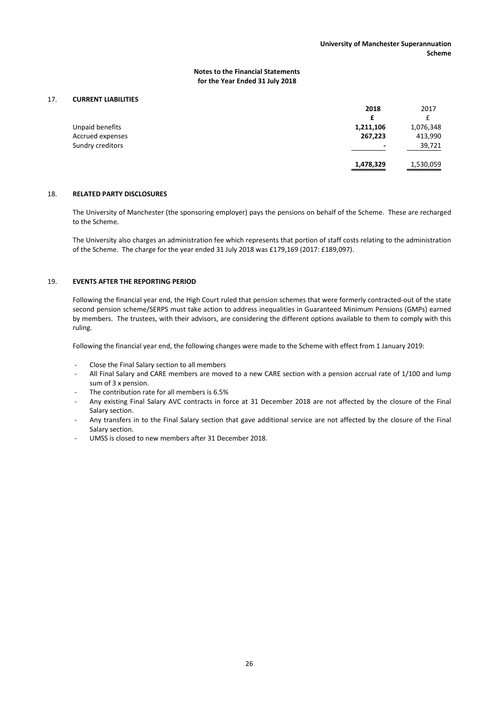#### 17. **CURRENT LIABILITIES**

|                  | 2018      | 2017      |
|------------------|-----------|-----------|
|                  | £         | £         |
| Unpaid benefits  | 1,211,106 | 1,076,348 |
| Accrued expenses | 267,223   | 413,990   |
| Sundry creditors | -         | 39,721    |
|                  | 1,478,329 | 1,530,059 |

#### 18. **RELATED PARTY DISCLOSURES**

The University of Manchester (the sponsoring employer) pays the pensions on behalf of the Scheme. These are recharged to the Scheme.

The University also charges an administration fee which represents that portion of staff costs relating to the administration of the Scheme. The charge for the year ended 31 July 2018 was £179,169 (2017: £189,097).

#### 19. **EVENTS AFTER THE REPORTING PERIOD**

Following the financial year end, the High Court ruled that pension schemes that were formerly contracted-out of the state second pension scheme/SERPS must take action to address inequalities in Guaranteed Minimum Pensions (GMPs) earned by members. The trustees, with their advisors, are considering the different options available to them to comply with this ruling.

Following the financial year end, the following changes were made to the Scheme with effect from 1 January 2019:

- Close the Final Salary section to all members
- All Final Salary and CARE members are moved to a new CARE section with a pension accrual rate of 1/100 and lump sum of 3 x pension.
- The contribution rate for all members is 6.5%
- Any existing Final Salary AVC contracts in force at 31 December 2018 are not affected by the closure of the Final Salary section.
- Any transfers in to the Final Salary section that gave additional service are not affected by the closure of the Final Salary section.
- UMSS is closed to new members after 31 December 2018.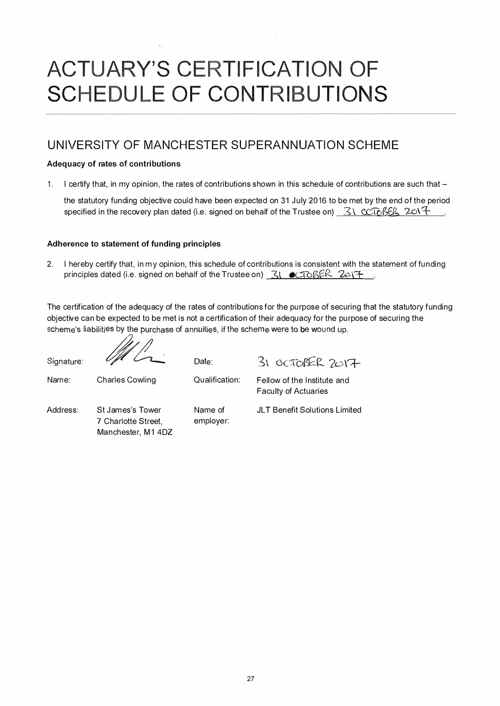# **ACTUARY'S CERTIFICATION OF SCHEDULE OF CONTRIBUTIONS**

# **UNIVERSITY OF MANCHESTER SUPERANNUATION SCHEME**

# **Adequacy of rates of contributions**

1. I certify that, in my opinion, the rates of contributions shown in this schedule of contributions are such that -

the statutory funding objective could have been expected on 31 July 2016 to be met by the end of the period specified in the recovery plan dated (i.e. signed on behalf of the Trustee on) 3 \. �c,f.,f,P...., 2-0\".'.f-

# **Adherence to statement of funding principles**

2. I hereby certify that, in my opinion, this schedule of contributions is consistent with the statement of funding principles dated (i.e. signed on behalf of the Trustee on)  $31$   $\angle$ CTOBER  $2e$  $7.$ 

The certification of the adequacy of the rates of contributions for the purpose of securing that the statutory funding objective can be expected to be met is not a certification of their adequacy for the purpose of securing the liabilities by the purchase of annuities, if the scheme were to be wound<br>  $\mathcal{L}$ 

 $310000000$ 

Name:

.

Charles Cowling

Qualification:

Fellow of the Institute and Faculty of Actuaries

Address:

Signature:

St James's Tower 7 Charlotte Street, Manchester, M1 4DZ

Name of employer:

**JLT Benefit Solutions Limited**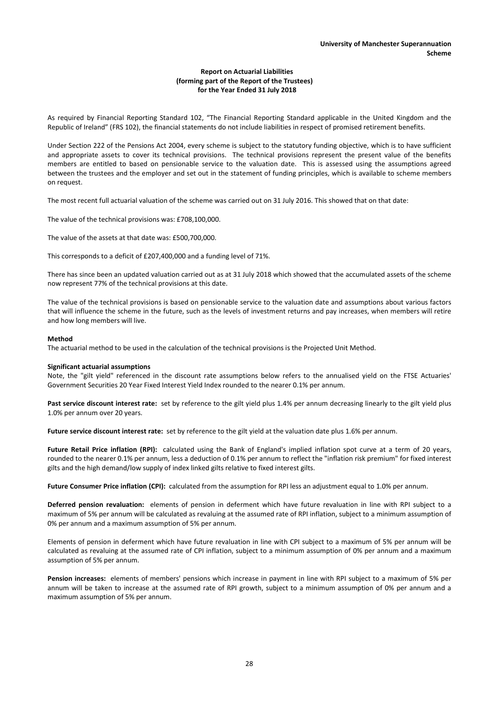#### **Report on Actuarial Liabilities (forming part of the Report of the Trustees) for the Year Ended 31 July 2018**

As required by Financial Reporting Standard 102, "The Financial Reporting Standard applicable in the United Kingdom and the Republic of Ireland" (FRS 102), the financial statements do not include liabilities in respect of promised retirement benefits.

Under Section 222 of the Pensions Act 2004, every scheme is subject to the statutory funding objective, which is to have sufficient and appropriate assets to cover its technical provisions. The technical provisions represent the present value of the benefits members are entitled to based on pensionable service to the valuation date. This is assessed using the assumptions agreed between the trustees and the employer and set out in the statement of funding principles, which is available to scheme members on request.

The most recent full actuarial valuation of the scheme was carried out on 31 July 2016. This showed that on that date:

The value of the technical provisions was: £708,100,000.

The value of the assets at that date was: £500,700,000.

This corresponds to a deficit of £207,400,000 and a funding level of 71%.

There has since been an updated valuation carried out as at 31 July 2018 which showed that the accumulated assets of the scheme now represent 77% of the technical provisions at this date.

The value of the technical provisions is based on pensionable service to the valuation date and assumptions about various factors that will influence the scheme in the future, such as the levels of investment returns and pay increases, when members will retire and how long members will live.

#### **Method**

The actuarial method to be used in the calculation of the technical provisions is the Projected Unit Method.

#### **Significant actuarial assumptions**

Note, the "gilt yield" referenced in the discount rate assumptions below refers to the annualised yield on the FTSE Actuaries' Government Securities 20 Year Fixed Interest Yield Index rounded to the nearer 0.1% per annum.

**Past service discount interest rate:** set by reference to the gilt yield plus 1.4% per annum decreasing linearly to the gilt yield plus 1.0% per annum over 20 years.

**Future service discount interest rate:** set by reference to the gilt yield at the valuation date plus 1.6% per annum.

**Future Retail Price inflation (RPI):** calculated using the Bank of England's implied inflation spot curve at a term of 20 years, rounded to the nearer 0.1% per annum, less a deduction of 0.1% per annum to reflect the "inflation risk premium" for fixed interest gilts and the high demand/low supply of index linked gilts relative to fixed interest gilts.

**Future Consumer Price inflation (CPI):** calculated from the assumption for RPI less an adjustment equal to 1.0% per annum.

**Deferred pension revaluation:** elements of pension in deferment which have future revaluation in line with RPI subject to a maximum of 5% per annum will be calculated as revaluing at the assumed rate of RPI inflation, subject to a minimum assumption of 0% per annum and a maximum assumption of 5% per annum.

Elements of pension in deferment which have future revaluation in line with CPI subject to a maximum of 5% per annum will be calculated as revaluing at the assumed rate of CPI inflation, subject to a minimum assumption of 0% per annum and a maximum assumption of 5% per annum.

**Pension increases:** elements of members' pensions which increase in payment in line with RPI subject to a maximum of 5% per annum will be taken to increase at the assumed rate of RPI growth, subject to a minimum assumption of 0% per annum and a maximum assumption of 5% per annum.